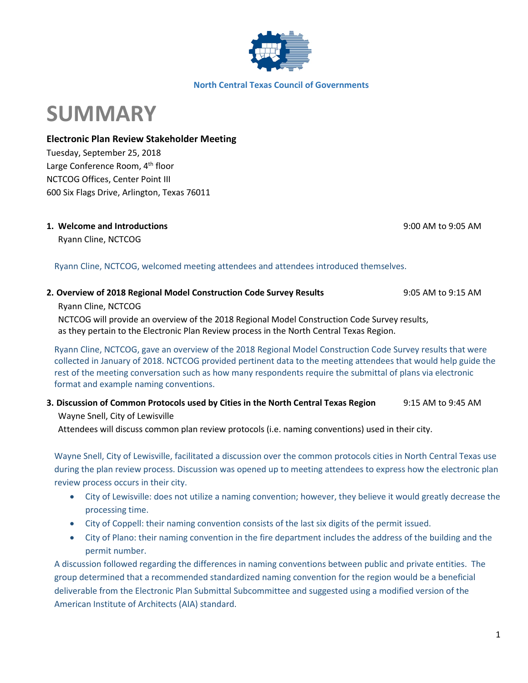

#### **North Central Texas Council of Governments**

# **SUMMARY**

## **Electronic Plan Review Stakeholder Meeting**

Tuesday, September 25, 2018 Large Conference Room, 4<sup>th</sup> floor NCTCOG Offices, Center Point III 600 Six Flags Drive, Arlington, Texas 76011

## **1. Welcome and Introductions** 9:00 AM to 9:05 AM

Ryann Cline, NCTCOG

## Ryann Cline, NCTCOG, welcomed meeting attendees and attendees introduced themselves.

## **2. Overview of 2018 Regional Model Construction Code Survey Results** 9:05 AM to 9:15 AM

Ryann Cline, NCTCOG

NCTCOG will provide an overview of the 2018 Regional Model Construction Code Survey results, as they pertain to the Electronic Plan Review process in the North Central Texas Region.

Ryann Cline, NCTCOG, gave an overview of the 2018 Regional Model Construction Code Survey results that were collected in January of 2018. NCTCOG provided pertinent data to the meeting attendees that would help guide the rest of the meeting conversation such as how many respondents require the submittal of plans via electronic format and example naming conventions.

## **3. Discussion of Common Protocols used by Cities in the North Central Texas Region** 9:15 AM to 9:45 AM Wayne Snell, City of Lewisville

Attendees will discuss common plan review protocols (i.e. naming conventions) used in their city.

Wayne Snell, City of Lewisville, facilitated a discussion over the common protocols cities in North Central Texas use during the plan review process. Discussion was opened up to meeting attendees to express how the electronic plan review process occurs in their city.

- City of Lewisville: does not utilize a naming convention; however, they believe it would greatly decrease the processing time.
- City of Coppell: their naming convention consists of the last six digits of the permit issued.
- City of Plano: their naming convention in the fire department includes the address of the building and the permit number.

A discussion followed regarding the differences in naming conventions between public and private entities. The group determined that a recommended standardized naming convention for the region would be a beneficial deliverable from the Electronic Plan Submittal Subcommittee and suggested using a modified version of the American Institute of Architects (AIA) standard.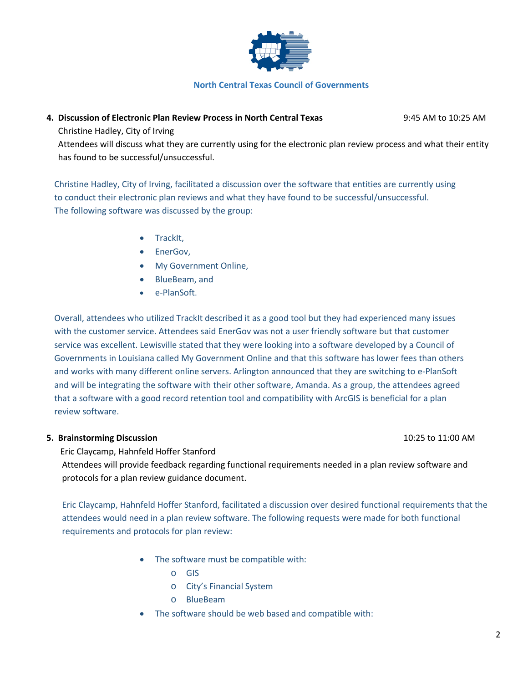

#### **North Central Texas Council of Governments**

## **4. Discussion of Electronic Plan Review Process in North Central Texas** 9:45 AM to 10:25 AM

Christine Hadley, City of Irving

Attendees will discuss what they are currently using for the electronic plan review process and what their entity has found to be successful/unsuccessful.

Christine Hadley, City of Irving, facilitated a discussion over the software that entities are currently using to conduct their electronic plan reviews and what they have found to be successful/unsuccessful. The following software was discussed by the group:

- TrackIt,
- EnerGov,
- My Government Online,
- BlueBeam, and
- e-PlanSoft.

Overall, attendees who utilized TrackIt described it as a good tool but they had experienced many issues with the customer service. Attendees said EnerGov was not a user friendly software but that customer service was excellent. Lewisville stated that they were looking into a software developed by a Council of Governments in Louisiana called My Government Online and that this software has lower fees than others and works with many different online servers. Arlington announced that they are switching to e-PlanSoft and will be integrating the software with their other software, Amanda. As a group, the attendees agreed that a software with a good record retention tool and compatibility with ArcGIS is beneficial for a plan review software.

#### **5. Brainstorming Discussion** 10:25 to 11:00 AM

Eric Claycamp, Hahnfeld Hoffer Stanford

Attendees will provide feedback regarding functional requirements needed in a plan review software and protocols for a plan review guidance document.

Eric Claycamp, Hahnfeld Hoffer Stanford, facilitated a discussion over desired functional requirements that the attendees would need in a plan review software. The following requests were made for both functional requirements and protocols for plan review:

- The software must be compatible with:
	- o GIS
	- o City's Financial System
	- o BlueBeam
- The software should be web based and compatible with: